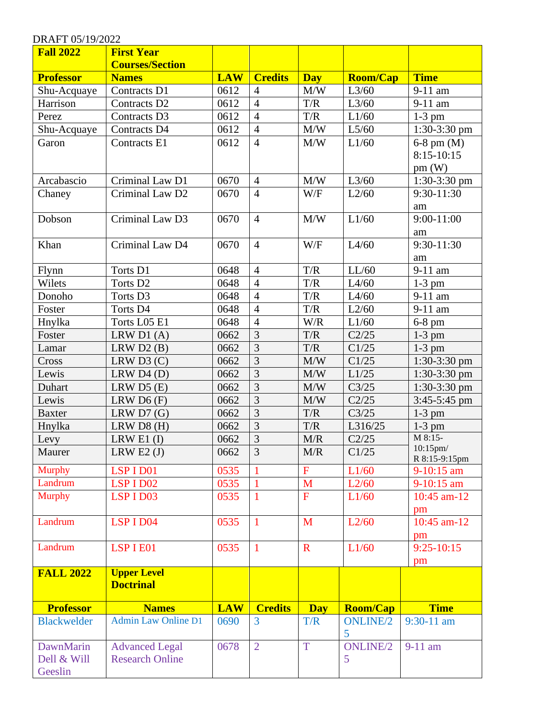| <b>Fall 2022</b>   | <b>First Year</b>          |            |                |              |                 |                     |
|--------------------|----------------------------|------------|----------------|--------------|-----------------|---------------------|
|                    | <b>Courses/Section</b>     |            |                |              |                 |                     |
| <b>Professor</b>   | <b>Names</b>               | <b>LAW</b> | <b>Credits</b> | <b>Day</b>   | <b>Room/Cap</b> | <b>Time</b>         |
| Shu-Acquaye        | Contracts D1               | 0612       | $\overline{4}$ | M/W          | L3/60           | 9-11 am             |
| Harrison           | Contracts D <sub>2</sub>   | 0612       | $\overline{4}$ | T/R          | L3/60           | 9-11 am             |
| Perez              | Contracts D3               | 0612       | $\overline{4}$ | T/R          | L1/60           | $1-3$ pm            |
| Shu-Acquaye        | Contracts D4               | 0612       | $\overline{4}$ | M/W          | L5/60           | 1:30-3:30 pm        |
| Garon              | Contracts E1               | 0612       | $\overline{4}$ | M/W          | L1/60           | $6-8$ pm $(M)$      |
|                    |                            |            |                |              |                 | $8:15-10:15$        |
|                    |                            |            |                |              |                 | pm(W)               |
| Arcabascio         | Criminal Law D1            | 0670       | $\overline{4}$ | M/W          | L3/60           | 1:30-3:30 pm        |
| Chaney             | Criminal Law D2            | 0670       | $\overline{4}$ | W/F          | L2/60           | 9:30-11:30          |
|                    |                            |            |                |              |                 | am                  |
| Dobson             | Criminal Law D3            | 0670       | $\overline{4}$ | M/W          | L1/60           | $9:00 - 11:00$      |
|                    |                            |            |                |              |                 | am                  |
| Khan               | Criminal Law D4            | 0670       | $\overline{4}$ | W/F          | L4/60           | $9:30-11:30$        |
|                    |                            |            |                |              |                 | am                  |
| Flynn              | Torts D1                   | 0648       | $\overline{4}$ | T/R          | LL/60           | 9-11 am             |
| Wilets             | Torts D <sub>2</sub>       | 0648       | $\overline{4}$ | T/R          | L4/60           | $1-3$ pm            |
| Donoho             | Torts D3                   | 0648       | $\overline{4}$ | T/R          | L4/60           | 9-11 am             |
| Foster             | Torts D4                   | 0648       | $\overline{4}$ | T/R          | L2/60           | 9-11 am             |
| Hnylka             | Torts L05 E1               | 0648       | $\overline{4}$ | W/R          | L1/60           | $6-8$ pm            |
| Foster             | LRW $D1(A)$                | 0662       | 3              | T/R          | C2/25           | $1-3$ pm            |
| Lamar              | LRW D2 (B)                 | 0662       | 3              | T/R          | C1/25           | $1-3$ pm            |
| Cross              | LRW $D3(C)$                | 0662       | 3              | M/W          | C1/25           | $1:30-3:30$ pm      |
| Lewis              | LRW D4 (D)                 | 0662       | 3              | M/W          | L1/25           | $1:30-3:30$ pm      |
| Duhart             | LRW D5 (E)                 | 0662       | $\overline{3}$ | M/W          | C3/25           | $1:30-3:30$ pm      |
| Lewis              | LRW D6 (F)                 | 0662       | $\overline{3}$ | M/W          | C2/25           | $3:45-5:45$ pm      |
| <b>Baxter</b>      | LRW $D7(G)$                | 0662       | 3              | T/R          | C3/25           | $1-3$ pm            |
| Hnylka             | LRW D8(H)                  | 0662       | $\overline{3}$ | T/R          | L316/25         | $1-3$ pm            |
| Levy               | LRW E1 $(I)$               | 0662       | $\overline{3}$ | M/R          | C2/25           | M 8:15-<br>10:15pm/ |
| Maurer             | LRW E2 $(J)$               | 0662       | 3              | M/R          | C1/25           | R 8:15-9:15pm       |
| <b>Murphy</b>      | LSP I D01                  | 0535       |                | $\mathbf{F}$ | L1/60           | 9-10:15 am          |
| Landrum            | LSP I D02                  | 0535       | 1              | M            | L2/60           | $9-10:15$ am        |
| <b>Murphy</b>      | LSP I D03                  | 0535       | $\mathbf{1}$   | $\mathbf{F}$ | L1/60           | $10:45$ am-12       |
|                    |                            |            |                |              |                 | pm                  |
| Landrum            | LSP I D04                  | 0535       | $\mathbf{1}$   | M            | L2/60           | 10:45 am-12         |
|                    |                            |            |                |              |                 | pm                  |
| Landrum            | LSP I E01                  | 0535       | 1              | $\mathbf R$  | L1/60           | $9:25-10:15$        |
|                    |                            |            |                |              |                 | pm                  |
| <b>FALL 2022</b>   | <b>Upper Level</b>         |            |                |              |                 |                     |
|                    | <b>Doctrinal</b>           |            |                |              |                 |                     |
| <b>Professor</b>   | <b>Names</b>               | <b>LAW</b> | <b>Credits</b> | <b>Day</b>   | <b>Room/Cap</b> | <b>Time</b>         |
| <b>Blackwelder</b> | <b>Admin Law Online D1</b> | 0690       | 3              | T/R          | <b>ONLINE/2</b> | $9:30-11$ am        |
|                    |                            |            |                |              | 5               |                     |
| DawnMarin          | <b>Advanced Legal</b>      | 0678       | $\overline{2}$ | T            | <b>ONLINE/2</b> | 9-11 am             |
| Dell & Will        | <b>Research Online</b>     |            |                |              | 5               |                     |
| Geeslin            |                            |            |                |              |                 |                     |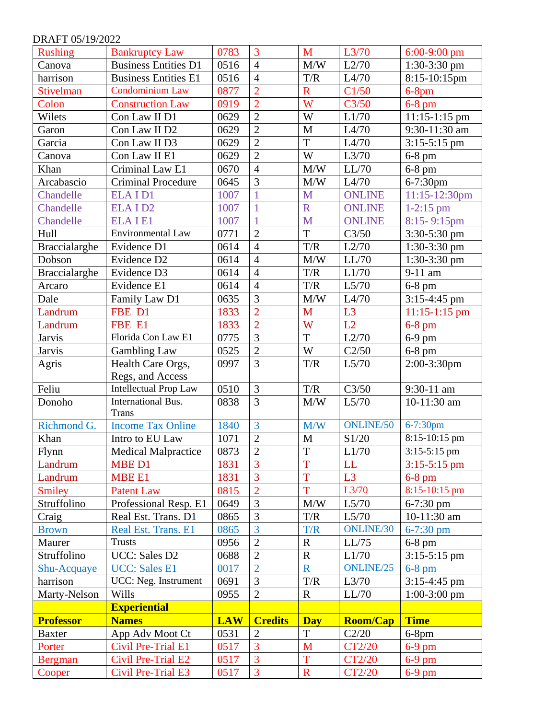| <b>Rushing</b>   | <b>Bankruptcy Law</b>        | 0783       | 3              | M           | L3/70            | $6:00-9:00$ pm   |
|------------------|------------------------------|------------|----------------|-------------|------------------|------------------|
| Canova           | <b>Business Entities D1</b>  | 0516       | $\overline{4}$ | M/W         | L2/70            | $1:30-3:30$ pm   |
| harrison         | <b>Business Entities E1</b>  | 0516       | $\overline{4}$ | T/R         | L4/70            | $8:15-10:15$ pm  |
| <b>Stivelman</b> | <b>Condominium Law</b>       | 0877       | $\overline{2}$ | $\mathbf R$ | C1/50            | $6-8$ pm         |
| Colon            | <b>Construction Law</b>      | 0919       | $\overline{2}$ | W           | C3/50            | $6-8$ pm         |
| Wilets           | Con Law II D1                | 0629       | $\overline{2}$ | W           | L1/70            | $11:15-1:15$ pm  |
| Garon            | Con Law II D2                | 0629       | $\overline{2}$ | M           | L4/70            | $9:30-11:30$ am  |
| Garcia           | Con Law II D3                | 0629       | $\overline{2}$ | T           | L4/70            | $3:15-5:15$ pm   |
| Canova           | Con Law II E1                | 0629       | $\overline{2}$ | W           | L3/70            | $6-8$ pm         |
| Khan             | Criminal Law E1              | 0670       | $\overline{4}$ | M/W         | LL/70            | $6-8$ pm         |
| Arcabascio       | <b>Criminal Procedure</b>    | 0645       | 3              | M/W         | L4/70            | 6-7:30pm         |
| Chandelle        | ELAID1                       | 1007       |                | M           | <b>ONLINE</b>    | 11:15-12:30pm    |
| Chandelle        | ELAID <sub>2</sub>           | 1007       | 1              | $\mathbf R$ | <b>ONLINE</b>    | $1-2:15$ pm      |
| Chandelle        | <b>ELAIE1</b>                | 1007       | $\overline{1}$ | M           | <b>ONLINE</b>    | $8:15 - 9:15$ pm |
| Hull             | Environmental Law            | 0771       | $\overline{2}$ | T           | C3/50            | 3:30-5:30 pm     |
| Braccialarghe    | Evidence D1                  | 0614       | $\overline{4}$ | T/R         | L2/70            | $1:30-3:30$ pm   |
| Dobson           | Evidence D2                  | 0614       | $\overline{4}$ | M/W         | LL/70            | $1:30-3:30$ pm   |
| Braccialarghe    | Evidence D3                  | 0614       | $\overline{4}$ | T/R         | L1/70            | 9-11 am          |
| Arcaro           | Evidence E1                  | 0614       | $\overline{4}$ | T/R         | L5/70            | $6-8$ pm         |
| Dale             | Family Law D1                | 0635       | 3              | M/W         | L4/70            | $3:15-4:45$ pm   |
| Landrum          | FBE D1                       | 1833       | $\overline{2}$ | M           | L3               | $11:15-1:15$ pm  |
| Landrum          | FBE E1                       | 1833       | $\overline{2}$ | W           | L2               | $6-8$ pm         |
| <b>Jarvis</b>    | Florida Con Law E1           | 0775       | 3              | T           | L2/70            | 6-9 pm           |
| <b>Jarvis</b>    | <b>Gambling Law</b>          | 0525       | $\overline{2}$ | W           | C2/50            | $6-8$ pm         |
| Agris            | Health Care Orgs,            | 0997       | $\overline{3}$ | T/R         | L5/70            | 2:00-3:30pm      |
|                  | Regs, and Access             |            |                |             |                  |                  |
| Feliu            | <b>Intellectual Prop Law</b> | 0510       | $\overline{3}$ | T/R         | C3/50            | 9:30-11 am       |
| Donoho           | International Bus.           | 0838       | 3              | M/W         | L5/70            | 10-11:30 am      |
|                  | <b>Trans</b>                 |            |                |             |                  |                  |
| Richmond G.      | <b>Income Tax Online</b>     | 1840       | 3              | M/W         | <b>ONLINE/50</b> | 6-7:30pm         |
| Khan             | Intro to EU Law              | 1071       | $\overline{2}$ | $\mathbf M$ | S1/20            | 8:15-10:15 pm    |
| Flynn            | <b>Medical Malpractice</b>   | 0873       | $\overline{2}$ | T           | L1/70            | $3:15-5:15$ pm   |
| Landrum          | MBE D1                       | 1831       | $\overline{3}$ | T           | LL               | $3:15-5:15$ pm   |
| Landrum          | <b>MBE E1</b>                | 1831       | 3              | T           | L3               | $6-8$ pm         |
| Smiley           | <b>Patent Law</b>            | 0815       | $\overline{2}$ | T           | L3/70            | 8:15-10:15 pm    |
| Struffolino      | Professional Resp. E1        | 0649       | 3              | M/W         | L5/70            | $6 - 7:30$ pm    |
| Craig            | Real Est. Trans. D1          | 0865       | 3              | T/R         | L5/70            | 10-11:30 am      |
| <b>Brown</b>     | Real Est. Trans. E1          | 0865       | 3              | T/R         | <b>ONLINE/30</b> | 6-7:30 pm        |
| Maurer           | <b>Trusts</b>                | 0956       | $\overline{2}$ | $\mathbf R$ | LL/75            | $6-8$ pm         |
| Struffolino      | UCC: Sales D2                | 0688       | $\overline{2}$ | $\mathbf R$ | L1/70            | $3:15-5:15$ pm   |
| Shu-Acquaye      | <b>UCC:</b> Sales E1         | 0017       | $\overline{2}$ | $\mathbf R$ | ONLINE/25        | $6-8$ pm         |
| harrison         | UCC: Neg. Instrument         | 0691       | 3              | T/R         | L3/70            | $3:15-4:45$ pm   |
| Marty-Nelson     | Wills                        | 0955       | $\overline{2}$ | $\mathbf R$ | LL/70            | $1:00-3:00$ pm   |
|                  | <b>Experiential</b>          |            |                |             |                  |                  |
| <b>Professor</b> | <b>Names</b>                 | <b>LAW</b> | <b>Credits</b> | <b>Day</b>  | <b>Room/Cap</b>  | <b>Time</b>      |
| <b>Baxter</b>    | App Adv Moot Ct              | 0531       | $\overline{2}$ | T           | C2/20            | $6-8$ pm         |
| Porter           | <b>Civil Pre-Trial E1</b>    | 0517       | $\overline{3}$ | M           | CT2/20           | $6-9$ pm         |
| <b>Bergman</b>   | <b>Civil Pre-Trial E2</b>    | 0517       | $\overline{3}$ | T           | CT2/20           | $6-9$ pm         |
| Cooper           | Civil Pre-Trial E3           | 0517       | $\overline{3}$ | $\mathbf R$ | CT2/20           | $6-9$ pm         |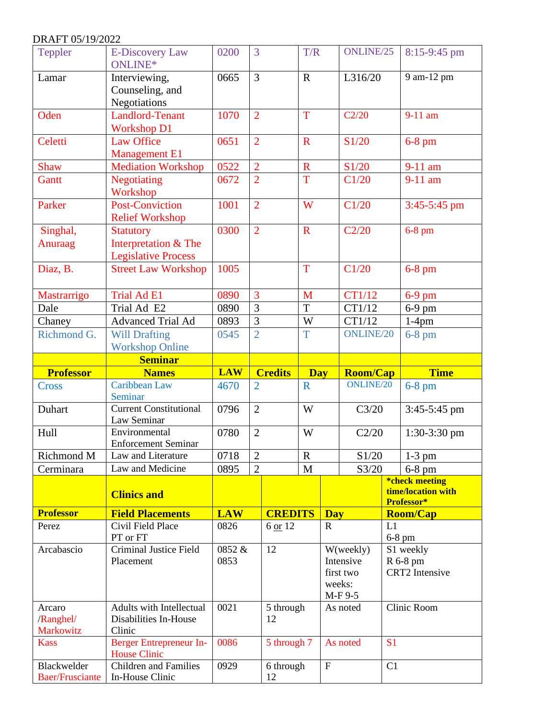| Teppler                                 | <b>E-Discovery Law</b><br>ONLINE*                                              | 0200           | 3                        | T/R         |              | ONLINE/25                                                |                      | 8:15-9:45 pm                                       |
|-----------------------------------------|--------------------------------------------------------------------------------|----------------|--------------------------|-------------|--------------|----------------------------------------------------------|----------------------|----------------------------------------------------|
| Lamar                                   | Interviewing,<br>Counseling, and<br>Negotiations                               | 0665           | 3                        | $\mathbf R$ |              | L316/20                                                  |                      | 9 am-12 pm                                         |
| Oden                                    | <b>Landlord-Tenant</b><br><b>Workshop D1</b>                                   | 1070           | $\overline{2}$           | T           |              | C2/20                                                    |                      | $9-11$ am                                          |
| Celetti                                 | <b>Law Office</b><br><b>Management E1</b>                                      | 0651           | $\overline{2}$           | $\mathbf R$ |              | S1/20                                                    |                      | $6-8$ pm                                           |
| <b>Shaw</b>                             | <b>Mediation Workshop</b>                                                      | 0522           | $\overline{2}$           | ${\bf R}$   |              | S1/20                                                    |                      | 9-11 am                                            |
| <b>Gantt</b>                            | <b>Negotiating</b><br>Workshop                                                 | 0672           | $\overline{2}$           | T           |              | C1/20                                                    |                      | $9-11$ am                                          |
| Parker                                  | Post-Conviction<br><b>Relief Workshop</b>                                      | 1001           | $\overline{2}$           | W           |              | C1/20                                                    |                      | 3:45-5:45 pm                                       |
| Singhal,<br>Anuraag                     | <b>Statutory</b><br>Interpretation & The<br><b>Legislative Process</b>         | 0300           | $\overline{2}$           | $\mathbf R$ |              | C2/20                                                    |                      | $6-8$ pm                                           |
| Diaz, B.                                | <b>Street Law Workshop</b>                                                     | 1005           |                          | T           |              | C1/20                                                    |                      | $6-8$ pm                                           |
| Mastrarrigo                             | <b>Trial Ad E1</b>                                                             | 0890           | 3                        | M           |              | CT1/12                                                   |                      | $6-9$ pm                                           |
| Dale                                    | Trial Ad E2                                                                    | 0890           | 3                        | T           |              | CT1/12                                                   |                      | $6-9$ pm                                           |
| Chaney                                  | Advanced Trial Ad                                                              | 0893           | 3                        | W           |              | CT1/12                                                   |                      | $1-4$ pm                                           |
| Richmond G.                             | <b>Will Drafting</b><br><b>Workshop Online</b>                                 | 0545           | $\overline{2}$           | T           |              | <b>ONLINE/20</b>                                         |                      | $6-8$ pm                                           |
|                                         | <b>Seminar</b>                                                                 |                |                          |             |              |                                                          |                      |                                                    |
|                                         |                                                                                |                |                          |             |              |                                                          |                      |                                                    |
| <b>Professor</b>                        | <b>Names</b>                                                                   | <b>LAW</b>     | <b>Credits</b>           | <b>Day</b>  |              | <b>Room/Cap</b>                                          |                      | <b>Time</b>                                        |
| <b>Cross</b>                            | Caribbean Law<br>Seminar                                                       | 4670           | $\overline{2}$           | $\mathbf R$ |              | <b>ONLINE/20</b>                                         |                      | $6-8$ pm                                           |
| Duhart                                  | <b>Current Constitutional</b><br>Law Seminar                                   | 0796           | $\overline{2}$           | W           |              | C3/20                                                    |                      | 3:45-5:45 pm                                       |
| Hull                                    | Environmental<br><b>Enforcement Seminar</b>                                    | 0780           | $\overline{2}$           | W           |              | C2/20                                                    |                      | $1:30-3:30$ pm                                     |
| Richmond M                              | Law and Literature                                                             | 0718           | $\sqrt{2}$               | ${\bf R}$   |              | $\sqrt{51/20}$                                           |                      | $1-3$ pm                                           |
| Cerminara                               | Law and Medicine                                                               | 0895           | $\overline{2}$           | M           |              | S3/20                                                    |                      | $6-8$ pm                                           |
|                                         | <b>Clinics and</b>                                                             |                |                          |             |              |                                                          |                      | *check meeting<br>time/location with<br>Professor* |
| <b>Professor</b>                        | <b>Field Placements</b>                                                        | <b>LAW</b>     | <b>CREDITS</b>           |             | <b>Day</b>   |                                                          |                      | <b>Room/Cap</b>                                    |
| Perez                                   | Civil Field Place<br>PT or FT                                                  | 0826           | 6 or 12                  |             | $\mathbf{R}$ |                                                          | L1                   | $6-8$ pm                                           |
| Arcabascio                              | Criminal Justice Field<br>Placement                                            | 0852 &<br>0853 | 12                       |             |              | W(weekly)<br>Intensive<br>first two<br>weeks:<br>M-F 9-5 |                      | S1 weekly<br>R 6-8 pm<br><b>CRT2</b> Intensive     |
| Arcaro<br>/Ranghel/<br><b>Markowitz</b> | Adults with Intellectual<br>Disabilities In-House<br>Clinic                    | 0021           | 5 through<br>12          |             |              | As noted                                                 |                      | Clinic Room                                        |
| <b>Kass</b><br>Blackwelder              | Berger Entrepreneur In-<br><b>House Clinic</b><br><b>Children</b> and Families | 0086<br>0929   | 5 through 7<br>6 through |             | $\mathbf F$  | As noted                                                 | S <sub>1</sub><br>C1 |                                                    |